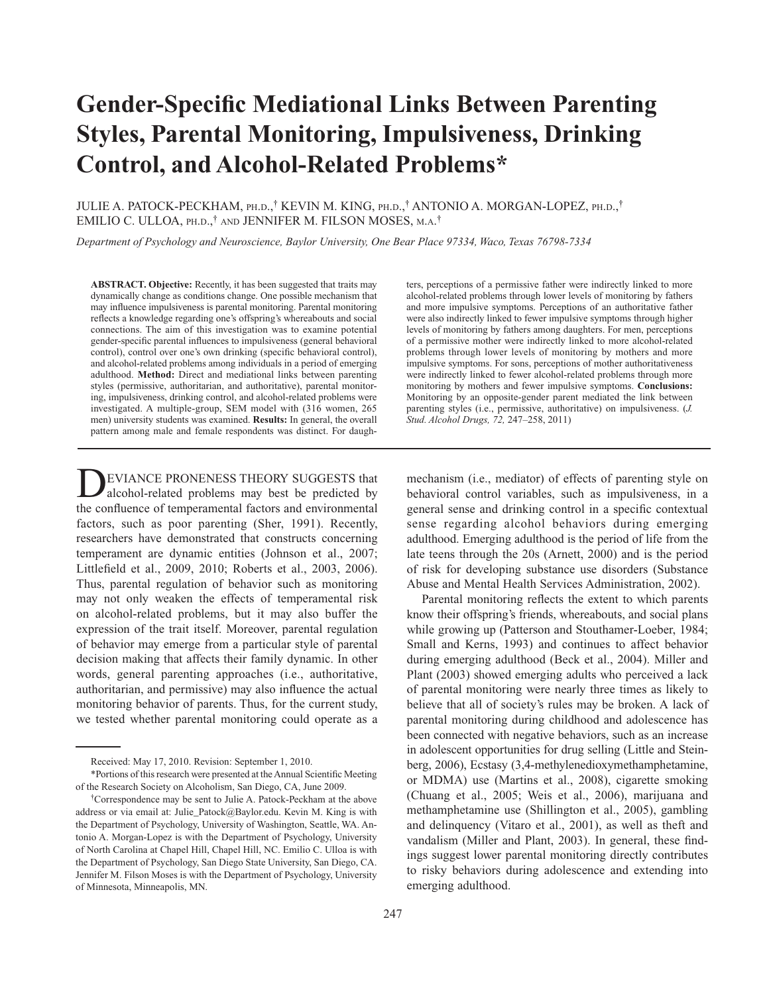# **Gender-Specific Mediational Links Between Parenting Styles, Parental Monitoring, Impulsiveness, Drinking Control, and Alcohol-Related Problems\***

JULIE A. PATOCK-PECKHAM, PH.D.,† KEVIN M. KING, PH.D.,† ANTONIO A. MORGAN-LOPEZ, PH.D.,† EMILIO C. ULLOA, PH.D.,† AND JENNIFER M. FILSON MOSES, M.A. †

*Department of Psychology and Neuroscience, Baylor University, One Bear Place 97334, Waco, Texas 76798-7334*

**ABSTRACT. Objective:** Recently, it has been suggested that traits may dynamically change as conditions change. One possible mechanism that may influence impulsiveness is parental monitoring. Parental monitoring reflects a knowledge regarding one's offspring's whereabouts and social connections. The aim of this investigation was to examine potential gender-specific parental influences to impulsiveness (general behavioral control), control over one's own drinking (specific behavioral control), and alcohol-related problems among individuals in a period of emerging adulthood. **Method:** Direct and mediational links between parenting styles (permissive, authoritarian, and authoritative), parental monitoring, impulsiveness, drinking control, and alcohol-related problems were investigated. A multiple-group, SEM model with (316 women, 265 men) university students was examined. **Results:** In general, the overall pattern among male and female respondents was distinct. For daugh-

EVIANCE PRONENESS THEORY SUGGESTS that alcohol-related problems may best be predicted by the confluence of temperamental factors and environmental factors, such as poor parenting (Sher, 1991). Recently, researchers have demonstrated that constructs concerning temperament are dynamic entities (Johnson et al., 2007; Littlefield et al., 2009, 2010; Roberts et al., 2003, 2006). Thus, parental regulation of behavior such as monitoring may not only weaken the effects of temperamental risk on alcohol-related problems, but it may also buffer the expression of the trait itself. Moreover, parental regulation of behavior may emerge from a particular style of parental decision making that affects their family dynamic. In other words, general parenting approaches (i.e., authoritative, authoritarian, and permissive) may also influence the actual monitoring behavior of parents. Thus, for the current study, we tested whether parental monitoring could operate as a

ters, perceptions of a permissive father were indirectly linked to more alcohol-related problems through lower levels of monitoring by fathers and more impulsive symptoms. Perceptions of an authoritative father were also indirectly linked to fewer impulsive symptoms through higher levels of monitoring by fathers among daughters. For men, perceptions of a permissive mother were indirectly linked to more alcohol-related problems through lower levels of monitoring by mothers and more impulsive symptoms. For sons, perceptions of mother authoritativeness were indirectly linked to fewer alcohol-related problems through more monitoring by mothers and fewer impulsive symptoms. **Conclusions:** Monitoring by an opposite-gender parent mediated the link between parenting styles (i.e., permissive, authoritative) on impulsiveness. (*J. Stud. Alcohol Drugs, 72,* 247–258, 2011)

mechanism (i.e., mediator) of effects of parenting style on behavioral control variables, such as impulsiveness, in a general sense and drinking control in a specific contextual sense regarding alcohol behaviors during emerging adulthood. Emerging adulthood is the period of life from the late teens through the 20s (Arnett, 2000) and is the period of risk for developing substance use disorders (Substance Abuse and Mental Health Services Administration, 2002).

Parental monitoring reflects the extent to which parents know their offspring's friends, whereabouts, and social plans while growing up (Patterson and Stouthamer-Loeber, 1984; Small and Kerns, 1993) and continues to affect behavior during emerging adulthood (Beck et al., 2004). Miller and Plant (2003) showed emerging adults who perceived a lack of parental monitoring were nearly three times as likely to believe that all of society's rules may be broken. A lack of parental monitoring during childhood and adolescence has been connected with negative behaviors, such as an increase in adolescent opportunities for drug selling (Little and Steinberg, 2006), Ecstasy (3,4-methylenedioxymethamphetamine, or MDMA) use (Martins et al., 2008), cigarette smoking (Chuang et al., 2005; Weis et al., 2006), marijuana and methamphetamine use (Shillington et al., 2005), gambling and delinquency (Vitaro et al., 2001), as well as theft and vandalism (Miller and Plant, 2003). In general, these findings suggest lower parental monitoring directly contributes to risky behaviors during adolescence and extending into emerging adulthood.

Received: May 17, 2010. Revision: September 1, 2010.

<sup>\*</sup>Portions of this research were presented at the Annual Scientific Meeting of the Research Society on Alcoholism, San Diego, CA, June 2009.

<sup>†</sup>Correspondence may be sent to Julie A. Patock-Peckham at the above address or via email at: Julie\_Patock@Baylor.edu. Kevin M. King is with the Department of Psychology, University of Washington, Seattle, WA. Antonio A. Morgan-Lopez is with the Department of Psychology, University of North Carolina at Chapel Hill, Chapel Hill, NC. Emilio C. Ulloa is with the Department of Psychology, San Diego State University, San Diego, CA. Jennifer M. Filson Moses is with the Department of Psychology, University of Minnesota, Minneapolis, MN.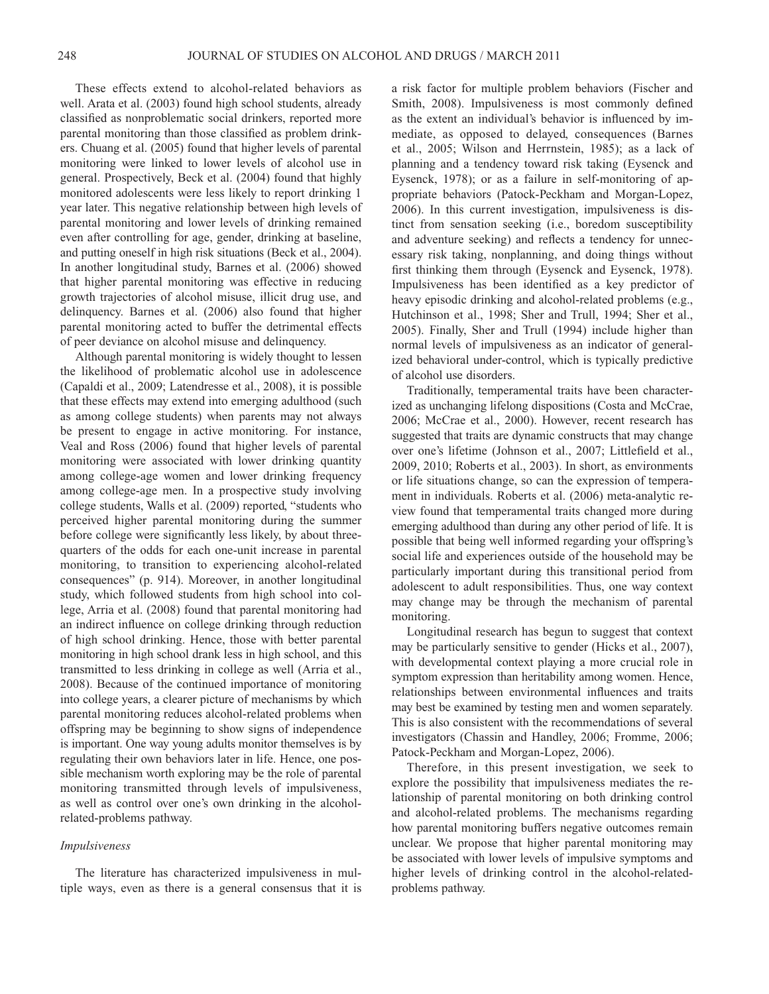These effects extend to alcohol-related behaviors as well. Arata et al. (2003) found high school students, already classified as nonproblematic social drinkers, reported more parental monitoring than those classified as problem drinkers. Chuang et al. (2005) found that higher levels of parental monitoring were linked to lower levels of alcohol use in general. Prospectively, Beck et al. (2004) found that highly monitored adolescents were less likely to report drinking 1 year later. This negative relationship between high levels of parental monitoring and lower levels of drinking remained even after controlling for age, gender, drinking at baseline, and putting oneself in high risk situations (Beck et al., 2004). In another longitudinal study, Barnes et al. (2006) showed that higher parental monitoring was effective in reducing growth trajectories of alcohol misuse, illicit drug use, and delinquency. Barnes et al. (2006) also found that higher parental monitoring acted to buffer the detrimental effects of peer deviance on alcohol misuse and delinquency.

 Although parental monitoring is widely thought to lessen the likelihood of problematic alcohol use in adolescence (Capaldi et al., 2009; Latendresse et al., 2008), it is possible that these effects may extend into emerging adulthood (such as among college students) when parents may not always be present to engage in active monitoring. For instance, Veal and Ross (2006) found that higher levels of parental monitoring were associated with lower drinking quantity among college-age women and lower drinking frequency among college-age men. In a prospective study involving college students, Walls et al. (2009) reported, "students who perceived higher parental monitoring during the summer before college were significantly less likely, by about threequarters of the odds for each one-unit increase in parental monitoring, to transition to experiencing alcohol-related consequences" (p. 914). Moreover, in another longitudinal study, which followed students from high school into college, Arria et al. (2008) found that parental monitoring had an indirect influence on college drinking through reduction of high school drinking. Hence, those with better parental monitoring in high school drank less in high school, and this transmitted to less drinking in college as well (Arria et al., 2008). Because of the continued importance of monitoring into college years, a clearer picture of mechanisms by which parental monitoring reduces alcohol-related problems when offspring may be beginning to show signs of independence is important. One way young adults monitor themselves is by regulating their own behaviors later in life. Hence, one possible mechanism worth exploring may be the role of parental monitoring transmitted through levels of impulsiveness, as well as control over one's own drinking in the alcoholrelated-problems pathway.

#### *Impulsiveness*

 The literature has characterized impulsiveness in multiple ways, even as there is a general consensus that it is a risk factor for multiple problem behaviors (Fischer and Smith, 2008). Impulsiveness is most commonly defined as the extent an individual's behavior is influenced by immediate, as opposed to delayed, consequences (Barnes et al., 2005; Wilson and Herrnstein, 1985); as a lack of planning and a tendency toward risk taking (Eysenck and Eysenck, 1978); or as a failure in self-monitoring of appropriate behaviors (Patock-Peckham and Morgan-Lopez, 2006). In this current investigation, impulsiveness is distinct from sensation seeking (i.e., boredom susceptibility and adventure seeking) and reflects a tendency for unnecessary risk taking, nonplanning, and doing things without first thinking them through (Eysenck and Eysenck, 1978). Impulsiveness has been identified as a key predictor of heavy episodic drinking and alcohol-related problems (e.g., Hutchinson et al., 1998; Sher and Trull, 1994; Sher et al., 2005). Finally, Sher and Trull (1994) include higher than normal levels of impulsiveness as an indicator of generalized behavioral under-control, which is typically predictive of alcohol use disorders.

 Traditionally, temperamental traits have been characterized as unchanging lifelong dispositions (Costa and McCrae, 2006; McCrae et al., 2000). However, recent research has suggested that traits are dynamic constructs that may change over one's lifetime (Johnson et al., 2007; Littlefield et al., 2009, 2010; Roberts et al., 2003). In short, as environments or life situations change, so can the expression of temperament in individuals. Roberts et al. (2006) meta-analytic review found that temperamental traits changed more during emerging adulthood than during any other period of life. It is possible that being well informed regarding your offspring's social life and experiences outside of the household may be particularly important during this transitional period from adolescent to adult responsibilities. Thus, one way context may change may be through the mechanism of parental monitoring.

 Longitudinal research has begun to suggest that context may be particularly sensitive to gender (Hicks et al., 2007), with developmental context playing a more crucial role in symptom expression than heritability among women. Hence, relationships between environmental influences and traits may best be examined by testing men and women separately. This is also consistent with the recommendations of several investigators (Chassin and Handley, 2006; Fromme, 2006; Patock-Peckham and Morgan-Lopez, 2006).

 Therefore, in this present investigation, we seek to explore the possibility that impulsiveness mediates the relationship of parental monitoring on both drinking control and alcohol-related problems. The mechanisms regarding how parental monitoring buffers negative outcomes remain unclear. We propose that higher parental monitoring may be associated with lower levels of impulsive symptoms and higher levels of drinking control in the alcohol-relatedproblems pathway.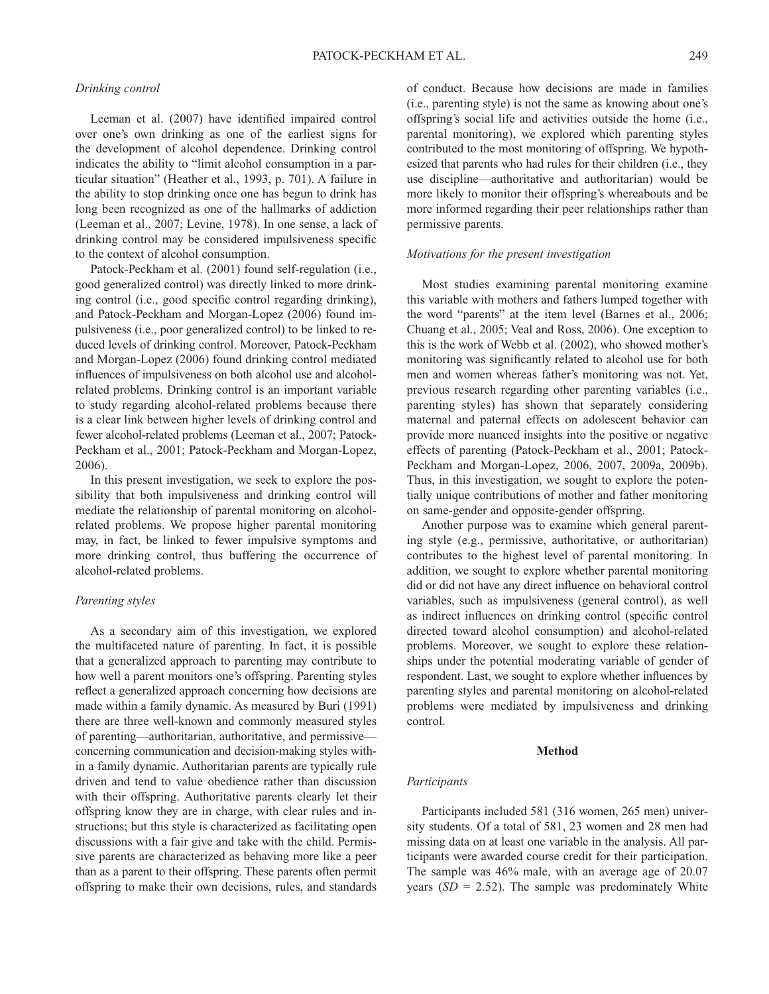## *Drinking control*

Leeman et al. (2007) have identified impaired control over one's own drinking as one of the earliest signs for the development of alcohol dependence. Drinking control indicates the ability to "limit alcohol consumption in a particular situation" (Heather et al., 1993, p. 701). A failure in the ability to stop drinking once one has begun to drink has long been recognized as one of the hallmarks of addiction (Leeman et al., 2007; Levine, 1978). In one sense, a lack of drinking control may be considered impulsiveness specific to the context of alcohol consumption.

 Patock-Peckham et al. (2001) found self-regulation (i.e., good generalized control) was directly linked to more drinking control (i.e., good specific control regarding drinking), and Patock-Peckham and Morgan-Lopez (2006) found impulsiveness (i.e., poor generalized control) to be linked to reduced levels of drinking control. Moreover, Patock-Peckham and Morgan-Lopez (2006) found drinking control mediated influences of impulsiveness on both alcohol use and alcoholrelated problems. Drinking control is an important variable to study regarding alcohol-related problems because there is a clear link between higher levels of drinking control and fewer alcohol-related problems (Leeman et al., 2007; Patock-Peckham et al., 2001; Patock-Peckham and Morgan-Lopez, 2006).

 In this present investigation, we seek to explore the possibility that both impulsiveness and drinking control will mediate the relationship of parental monitoring on alcoholrelated problems. We propose higher parental monitoring may, in fact, be linked to fewer impulsive symptoms and more drinking control, thus buffering the occurrence of alcohol-related problems.

## *Parenting styles*

 As a secondary aim of this investigation, we explored the multifaceted nature of parenting. In fact, it is possible that a generalized approach to parenting may contribute to how well a parent monitors one's offspring. Parenting styles reflect a generalized approach concerning how decisions are made within a family dynamic. As measured by Buri (1991) there are three well-known and commonly measured styles of parenting—authoritarian, authoritative, and permissive concerning communication and decision-making styles within a family dynamic. Authoritarian parents are typically rule driven and tend to value obedience rather than discussion with their offspring. Authoritative parents clearly let their offspring know they are in charge, with clear rules and instructions; but this style is characterized as facilitating open discussions with a fair give and take with the child. Permissive parents are characterized as behaving more like a peer than as a parent to their offspring. These parents often permit offspring to make their own decisions, rules, and standards

of conduct. Because how decisions are made in families (i.e., parenting style) is not the same as knowing about one's offspring's social life and activities outside the home (i.e., parental monitoring), we explored which parenting styles contributed to the most monitoring of offspring. We hypothesized that parents who had rules for their children (i.e., they use discipline—authoritative and authoritarian) would be more likely to monitor their offspring's whereabouts and be more informed regarding their peer relationships rather than permissive parents.

## *Motivations for the present investigation*

 Most studies examining parental monitoring examine this variable with mothers and fathers lumped together with the word "parents" at the item level (Barnes et al., 2006; Chuang et al., 2005; Veal and Ross, 2006). One exception to this is the work of Webb et al. (2002), who showed mother's monitoring was significantly related to alcohol use for both men and women whereas father's monitoring was not. Yet, previous research regarding other parenting variables (i.e., parenting styles) has shown that separately considering maternal and paternal effects on adolescent behavior can provide more nuanced insights into the positive or negative effects of parenting (Patock-Peckham et al., 2001; Patock-Peckham and Morgan-Lopez, 2006, 2007, 2009a, 2009b). Thus, in this investigation, we sought to explore the potentially unique contributions of mother and father monitoring on same-gender and opposite-gender offspring.

 Another purpose was to examine which general parenting style (e.g., permissive, authoritative, or authoritarian) contributes to the highest level of parental monitoring. In addition, we sought to explore whether parental monitoring did or did not have any direct influence on behavioral control variables, such as impulsiveness (general control), as well as indirect influences on drinking control (specific control directed toward alcohol consumption) and alcohol-related problems. Moreover, we sought to explore these relationships under the potential moderating variable of gender of respondent. Last, we sought to explore whether influences by parenting styles and parental monitoring on alcohol-related problems were mediated by impulsiveness and drinking control.

#### **Method**

#### *Participants*

 Participants included 581 (316 women, 265 men) university students. Of a total of 581, 23 women and 28 men had missing data on at least one variable in the analysis. All participants were awarded course credit for their participation. The sample was 46% male, with an average age of 20.07 years  $(SD = 2.52)$ . The sample was predominately White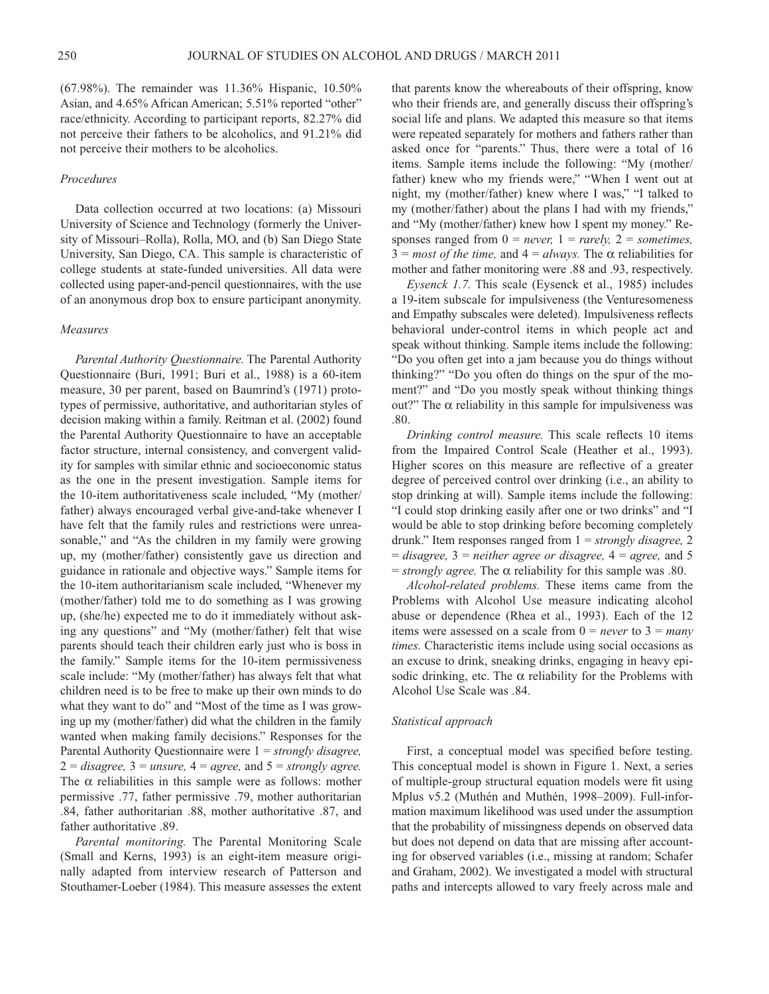(67.98%). The remainder was 11.36% Hispanic, 10.50% Asian, and 4.65% African American; 5.51% reported "other" race/ethnicity. According to participant reports, 82.27% did not perceive their fathers to be alcoholics, and 91.21% did not perceive their mothers to be alcoholics.

## *Procedures*

 Data collection occurred at two locations: (a) Missouri University of Science and Technology (formerly the University of Missouri–Rolla), Rolla, MO, and (b) San Diego State University, San Diego, CA. This sample is characteristic of college students at state-funded universities. All data were collected using paper-and-pencil questionnaires, with the use of an anonymous drop box to ensure participant anonymity.

## *Measures*

*Parental Authority Questionnaire.* The Parental Authority Questionnaire (Buri, 1991; Buri et al., 1988) is a 60-item measure, 30 per parent, based on Baumrind's (1971) prototypes of permissive, authoritative, and authoritarian styles of decision making within a family. Reitman et al. (2002) found the Parental Authority Questionnaire to have an acceptable factor structure, internal consistency, and convergent validity for samples with similar ethnic and socioeconomic status as the one in the present investigation. Sample items for the 10-item authoritativeness scale included, "My (mother/ father) always encouraged verbal give-and-take whenever I have felt that the family rules and restrictions were unreasonable," and "As the children in my family were growing up, my (mother/father) consistently gave us direction and guidance in rationale and objective ways." Sample items for the 10-item authoritarianism scale included, "Whenever my (mother/father) told me to do something as I was growing up, (she/he) expected me to do it immediately without asking any questions" and "My (mother/father) felt that wise parents should teach their children early just who is boss in the family." Sample items for the 10-item permissiveness scale include: "My (mother/father) has always felt that what children need is to be free to make up their own minds to do what they want to do" and "Most of the time as I was growing up my (mother/father) did what the children in the family wanted when making family decisions." Responses for the Parental Authority Questionnaire were 1 = *strongly disagree,*  $2 = \text{disagree}, 3 = \text{unsure}, 4 = \text{agree}, \text{and } 5 = \text{strongly agree}.$ The  $\alpha$  reliabilities in this sample were as follows: mother permissive .77, father permissive .79, mother authoritarian .84, father authoritarian .88, mother authoritative .87, and father authoritative .89.

*Parental monitoring.* The Parental Monitoring Scale (Small and Kerns, 1993) is an eight-item measure originally adapted from interview research of Patterson and Stouthamer-Loeber (1984). This measure assesses the extent

that parents know the whereabouts of their offspring, know who their friends are, and generally discuss their offspring's social life and plans. We adapted this measure so that items were repeated separately for mothers and fathers rather than asked once for "parents." Thus, there were a total of 16 items. Sample items include the following: "My (mother/ father) knew who my friends were," "When I went out at night, my (mother/father) knew where I was," "I talked to my (mother/father) about the plans I had with my friends," and "My (mother/father) knew how I spent my money." Responses ranged from  $0 = never$ ,  $1 = rarely$ ,  $2 = sometimes$ ,  $3 = most of the time, and 4 = always. The  $\alpha$  reliabilities for$ mother and father monitoring were .88 and .93, respectively.

*Eysenck 1.7.* This scale (Eysenck et al., 1985) includes a 19-item subscale for impulsiveness (the Venturesomeness and Empathy subscales were deleted). Impulsiveness reflects behavioral under-control items in which people act and speak without thinking. Sample items include the following: "Do you often get into a jam because you do things without thinking?" "Do you often do things on the spur of the moment?" and "Do you mostly speak without thinking things out?" The α reliability in this sample for impulsiveness was .80.

*Drinking control measure*. This scale reflects 10 items from the Impaired Control Scale (Heather et al., 1993). Higher scores on this measure are reflective of a greater degree of perceived control over drinking (i.e., an ability to stop drinking at will). Sample items include the following: "I could stop drinking easily after one or two drinks" and "I would be able to stop drinking before becoming completely drunk." Item responses ranged from 1 = *strongly disagree,* 2 = *disagree,* 3 = *neither agree or disagree,* 4 = *agree,* and 5  $=$  *strongly agree.* The  $\alpha$  reliability for this sample was .80.

*Alcohol-related problems.* These items came from the Problems with Alcohol Use measure indicating alcohol abuse or dependence (Rhea et al., 1993). Each of the 12 items were assessed on a scale from 0 = *never* to 3 = *many times.* Characteristic items include using social occasions as an excuse to drink, sneaking drinks, engaging in heavy episodic drinking, etc. The  $\alpha$  reliability for the Problems with Alcohol Use Scale was .84.

#### *Statistical approach*

First, a conceptual model was specified before testing. This conceptual model is shown in Figure 1. Next, a series of multiple-group structural equation models were fit using Mplus v5.2 (Muthén and Muthén, 1998–2009). Full-information maximum likelihood was used under the assumption that the probability of missingness depends on observed data but does not depend on data that are missing after accounting for observed variables (i.e., missing at random; Schafer and Graham, 2002). We investigated a model with structural paths and intercepts allowed to vary freely across male and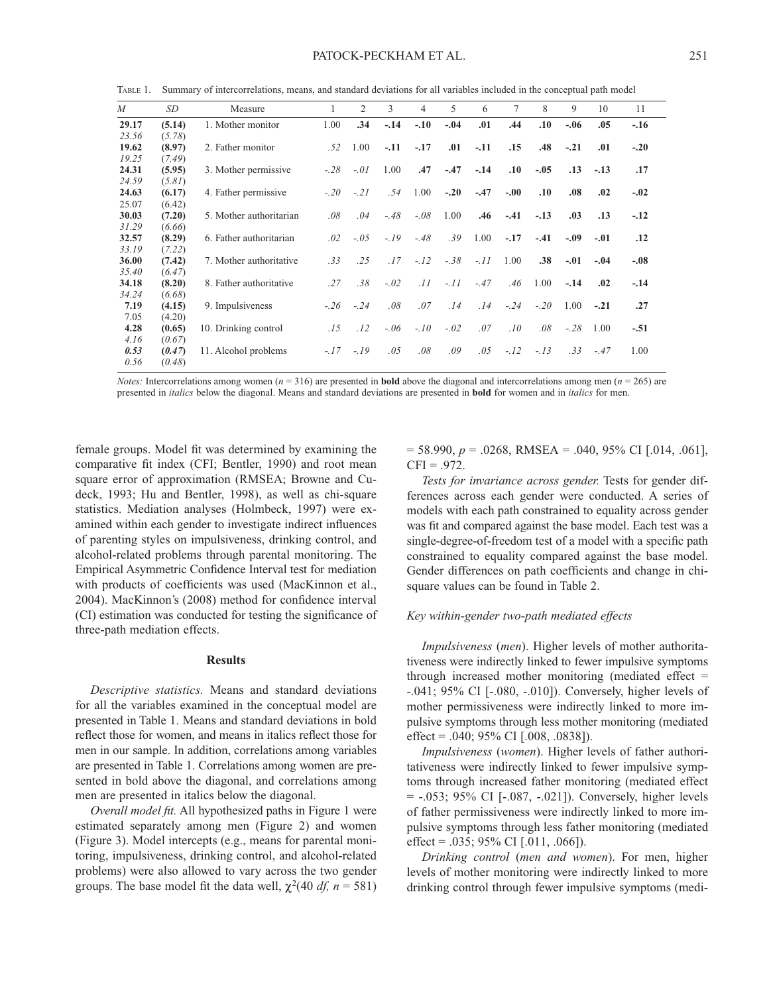| $\boldsymbol{M}$ | SD     | Measure                 | 1      | $\mathfrak{D}$ | 3      | 4      | 5      | 6      | 7       | 8                | 9      | 10     | 11     |
|------------------|--------|-------------------------|--------|----------------|--------|--------|--------|--------|---------|------------------|--------|--------|--------|
| 29.17            | (5.14) | 1. Mother monitor       | 1.00   | .34            | $-.14$ | $-.10$ | $-.04$ | .01    | .44     | .10              | $-.06$ | .05    | $-.16$ |
| 23.56            | (5.78) |                         |        |                |        |        |        |        |         |                  |        |        |        |
| 19.62            | (8.97) | 2. Father monitor       | .52    | 1.00           | $-.11$ | $-.17$ | .01    | $-.11$ | .15     | .48              | $-.21$ | .01    | $-.20$ |
| 19.25            | (7.49) |                         |        |                |        |        |        |        |         |                  |        |        |        |
| 24.31            | (5.95) | 3. Mother permissive    | $-.28$ | $-.01$         | 1.00   | .47    | $-.47$ | $-.14$ | .10     | $-.05$           | .13    | $-.13$ | .17    |
| 24.59            | (5.81) |                         |        |                |        |        |        |        |         |                  |        |        |        |
| 24.63            | (6.17) | 4. Father permissive    | $-.20$ | $-.21$         | .54    | 1.00   | $-.20$ | $-.47$ | $-.00.$ | .10              | .08    | .02    | $-.02$ |
| 25.07            | (6.42) |                         |        |                |        |        |        |        |         |                  |        |        |        |
| 30.03            | (7.20) | 5. Mother authoritarian | .08    | .04            | $-.48$ | $-.08$ | 1.00   | .46    | $-.41$  | $-.13$           | .03    | .13    | $-.12$ |
| 31.29            | (6.66) |                         |        |                |        |        |        |        |         |                  |        |        |        |
| 32.57            | (8.29) | 6. Father authoritarian | .02    | $-.05$         | $-.19$ | $-.48$ | .39    | 1.00   | $-.17$  | $-.41$           | $-.09$ | $-.01$ | .12    |
| 33.19            | (7.22) |                         |        |                |        |        |        |        |         |                  |        |        |        |
| 36.00            | (7.42) | 7. Mother authoritative | .33    | .25            | .17    | $-.12$ | $-.38$ | $-.11$ | 1.00    | .38 <sub>0</sub> | $-.01$ | $-.04$ | $-.08$ |
| 35.40            | (6.47) |                         |        |                |        |        |        |        |         |                  |        |        |        |
| 34.18            | (8.20) | 8. Father authoritative | .27    | .38            | $-.02$ | .11    | $-.11$ | $-.47$ | .46     | 1.00             | $-.14$ | .02    | $-.14$ |
| 34.24            | (6.68) |                         |        |                |        |        |        |        |         |                  |        |        |        |
| 7.19             | (4.15) | 9. Impulsiveness        | $-.26$ | $-.24$         | .08    | .07    | .14    | .14    | $-.24$  | $-.20$           | 1.00   | $-.21$ | .27    |
| 7.05             | (4.20) |                         |        |                |        |        |        |        |         |                  |        |        |        |
| 4.28             | (0.65) | 10. Drinking control    | .15    | .12            | $-.06$ | $-.10$ | $-.02$ | .07    | .10     | .08 <sub>1</sub> | $-.28$ | 1.00   | $-.51$ |
| 4.16             | (0.67) |                         |        |                |        |        |        |        |         |                  |        |        |        |
| 0.53             | (0.47) | 11. Alcohol problems    | $-.17$ | $-.19$         | .05    | .08    | .09    | .05    | $-.12$  | $-.13$           | .33    | $-.47$ | 1.00   |
| 0.56             | (0.48) |                         |        |                |        |        |        |        |         |                  |        |        |        |

TABLE 1. Summary of intercorrelations, means, and standard deviations for all variables included in the conceptual path model

*Notes:* Intercorrelations among women  $(n = 316)$  are presented in **bold** above the diagonal and intercorrelations among men  $(n = 265)$  are presented in *italics* below the diagonal. Means and standard deviations are presented in **bold** for women and in *italics* for men.

female groups. Model fit was determined by examining the comparative fit index (CFI; Bentler, 1990) and root mean square error of approximation (RMSEA; Browne and Cudeck, 1993; Hu and Bentler, 1998), as well as chi-square statistics. Mediation analyses (Holmbeck, 1997) were examined within each gender to investigate indirect influences of parenting styles on impulsiveness, drinking control, and alcohol-related problems through parental monitoring. The Empirical Asymmetric Confidence Interval test for mediation with products of coefficients was used (MacKinnon et al., 2004). MacKinnon's (2008) method for confidence interval (CI) estimation was conducted for testing the significance of three-path mediation effects.

#### **Results**

*Descriptive statistics.* Means and standard deviations for all the variables examined in the conceptual model are presented in Table 1. Means and standard deviations in bold reflect those for women, and means in italics reflect those for men in our sample. In addition, correlations among variables are presented in Table 1. Correlations among women are presented in bold above the diagonal, and correlations among men are presented in italics below the diagonal.

*Overall model fit.* All hypothesized paths in Figure 1 were estimated separately among men (Figure 2) and women (Figure 3). Model intercepts (e.g., means for parental monitoring, impulsiveness, drinking control, and alcohol-related problems) were also allowed to vary across the two gender groups. The base model fit the data well,  $\chi^2$ (40 *df, n* = 581)  $= 58.990, p = .0268, RMSEA = .040, 95\% \text{ CI}$  [.014, .061],  $CFI = .972.$ 

*Tests for invariance across gender.* Tests for gender differences across each gender were conducted. A series of models with each path constrained to equality across gender was fit and compared against the base model. Each test was a single-degree-of-freedom test of a model with a specific path constrained to equality compared against the base model. Gender differences on path coefficients and change in chisquare values can be found in Table 2.

## *Key within-gender two-path mediated effects*

*Impulsiveness* (*men*). Higher levels of mother authoritativeness were indirectly linked to fewer impulsive symptoms through increased mother monitoring (mediated effect = -.041; 95% CI [-.080, -.010]). Conversely, higher levels of mother permissiveness were indirectly linked to more impulsive symptoms through less mother monitoring (mediated effect = .040;  $95\%$  CI [.008, .0838]).

*Impulsiveness* (*women*). Higher levels of father authoritativeness were indirectly linked to fewer impulsive symptoms through increased father monitoring (mediated effect = -.053; 95% CI [-.087, -.021]). Conversely, higher levels of father permissiveness were indirectly linked to more impulsive symptoms through less father monitoring (mediated effect = .035; 95% CI [.011, .066]).

*Drinking control* (*men and women*). For men, higher levels of mother monitoring were indirectly linked to more drinking control through fewer impulsive symptoms (medi-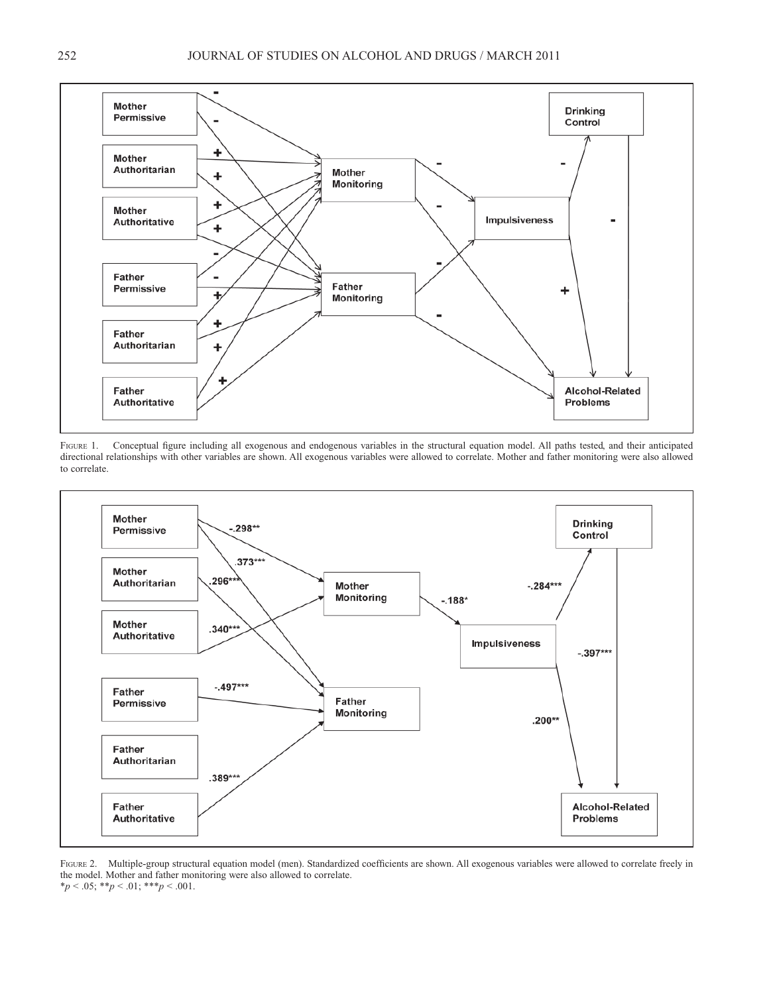

FIGURE 1. Conceptual figure including all exogenous and endogenous variables in the structural equation model. All paths tested, and their anticipated directional relationships with other variables are shown. All exogenous variables were allowed to correlate. Mother and father monitoring were also allowed to correlate.



FIGURE 2. Multiple-group structural equation model (men). Standardized coefficients are shown. All exogenous variables were allowed to correlate freely in the model. Mother and father monitoring were also allowed to correlate.  $*_{p}$  < .05;  $*_{p}$  < .01;  $*_{p}$  < .001.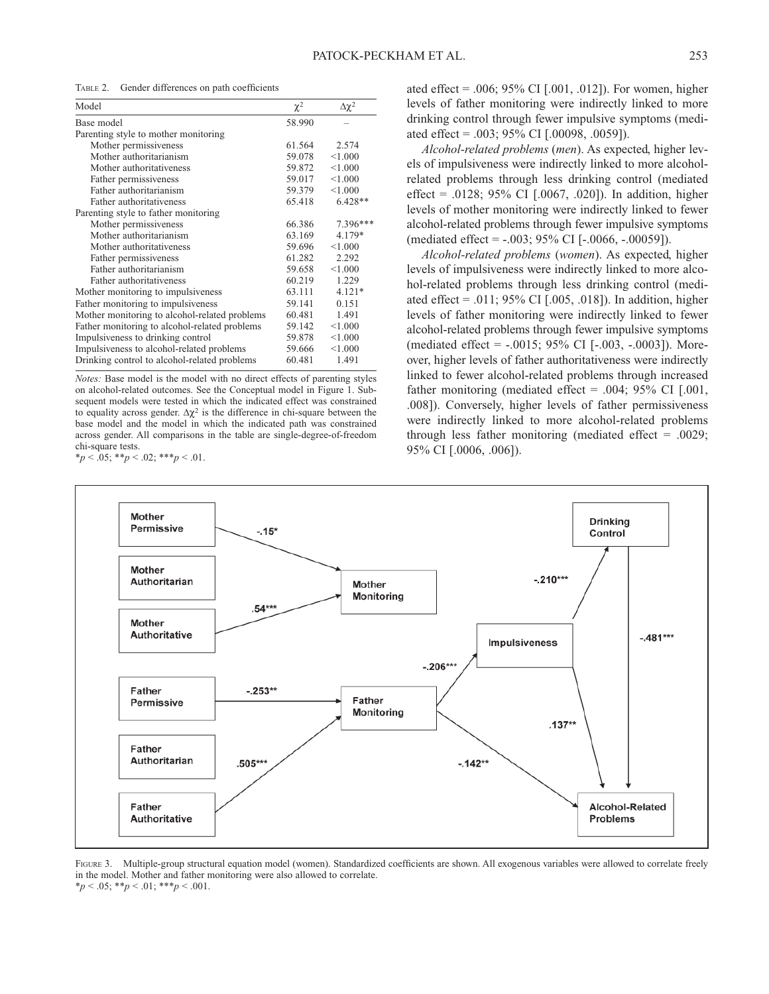| TABLE 2. |  |  |  | Gender differences on path coefficients |
|----------|--|--|--|-----------------------------------------|
|----------|--|--|--|-----------------------------------------|

| Model                                         | $\chi^2$ | Δχ²       |
|-----------------------------------------------|----------|-----------|
| Base model                                    | 58.990   |           |
| Parenting style to mother monitoring          |          |           |
| Mother permissiveness                         | 61.564   | 2.574     |
| Mother authoritarianism                       | 59.078   | < 1.000   |
| Mother authoritativeness                      | 59.872   | < 1.000   |
| Father permissiveness                         | 59.017   | < 1.000   |
| Father authoritarianism                       | 59.379   | < 1.000   |
| Father authoritativeness                      | 65.418   | $6.428**$ |
| Parenting style to father monitoring          |          |           |
| Mother permissiveness                         | 66.386   | 7.396***  |
| Mother authoritarianism                       | 63.169   | 4.179*    |
| Mother authoritativeness                      | 59.696   | < 1.000   |
| Father permissiveness                         | 61.282   | 2.292     |
| Father authoritarianism                       | 59.658   | < 1.000   |
| Father authoritativeness                      | 60.219   | 1.229     |
| Mother monitoring to impulsiveness            | 63.111   | $4.121*$  |
| Father monitoring to impulsiveness            | 59.141   | 0.151     |
| Mother monitoring to alcohol-related problems | 60.481   | 1.491     |
| Father monitoring to alcohol-related problems | 59.142   | < 1.000   |
| Impulsiveness to drinking control             | 59.878   | < 1.000   |
| Impulsiveness to alcohol-related problems     | 59.666   | < 1.000   |
| Drinking control to alcohol-related problems  | 60.481   | 1.491     |

*Notes:* Base model is the model with no direct effects of parenting styles on alcohol-related outcomes. See the Conceptual model in Figure 1. Subsequent models were tested in which the indicated effect was constrained to equality across gender.  $\Delta \chi^2$  is the difference in chi-square between the base model and the model in which the indicated path was constrained across gender. All comparisons in the table are single-degree-of-freedom chi-square tests.

 $*_{p}$  < .05;  $*_{p}$  < .02;  $*_{p}$  < .01.

ated effect = .006; 95% CI [.001, .012]). For women, higher levels of father monitoring were indirectly linked to more drinking control through fewer impulsive symptoms (mediated effect = .003; 95% CI [.00098, .0059]).

*Alcohol-related problems* (*men*). As expected, higher levels of impulsiveness were indirectly linked to more alcoholrelated problems through less drinking control (mediated effect = .0128; 95% CI [.0067, .020]). In addition, higher levels of mother monitoring were indirectly linked to fewer alcohol-related problems through fewer impulsive symptoms (mediated effect = -.003; 95% CI [-.0066, -.00059]).

*Alcohol-related problems* (*women*). As expected, higher levels of impulsiveness were indirectly linked to more alcohol-related problems through less drinking control (mediated effect = .011; 95% CI [.005, .018]). In addition, higher levels of father monitoring were indirectly linked to fewer alcohol-related problems through fewer impulsive symptoms (mediated effect = -.0015; 95% CI [-.003, -.0003]). Moreover, higher levels of father authoritativeness were indirectly linked to fewer alcohol-related problems through increased father monitoring (mediated effect  $= .004$ ; 95% CI [.001, .008]). Conversely, higher levels of father permissiveness were indirectly linked to more alcohol-related problems through less father monitoring (mediated effect  $= .0029$ ; 95% CI [.0006, .006]).



FIGURE 3. Multiple-group structural equation model (women). Standardized coefficients are shown. All exogenous variables were allowed to correlate freely in the model. Mother and father monitoring were also allowed to correlate.  $*_{p}$  < .05;  $*_{p}$  < .01;  $*_{p}$  < .001.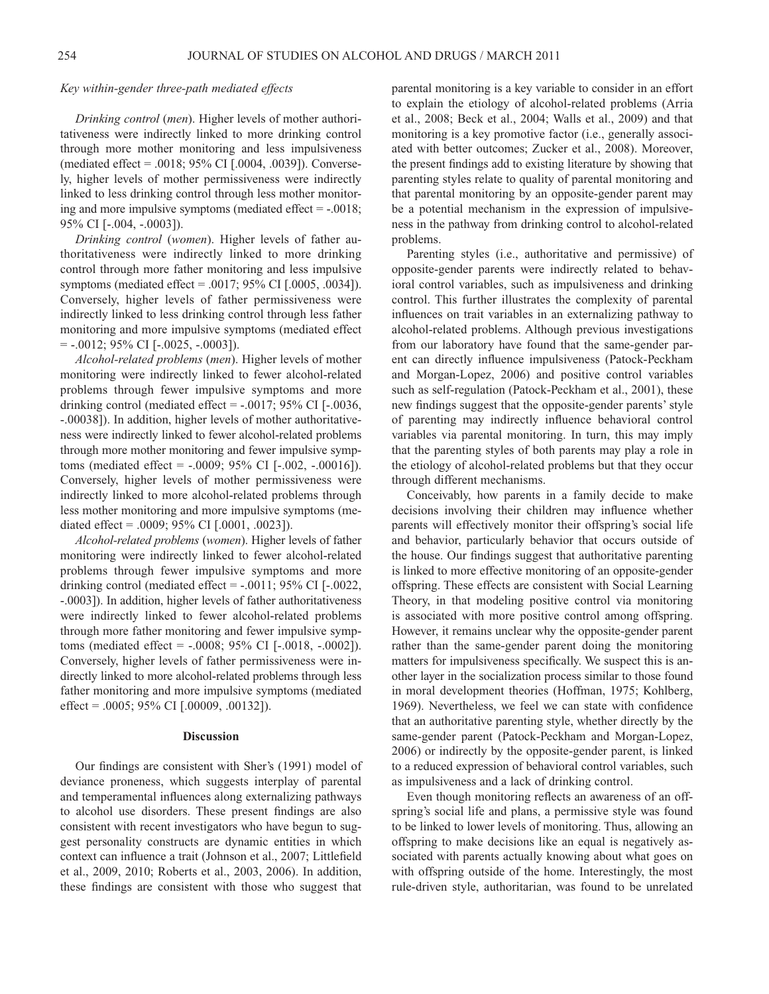## *Key within-gender three-path mediated effects*

*Drinking control* (*men*). Higher levels of mother authoritativeness were indirectly linked to more drinking control through more mother monitoring and less impulsiveness (mediated effect = .0018; 95% CI [.0004, .0039]). Conversely, higher levels of mother permissiveness were indirectly linked to less drinking control through less mother monitoring and more impulsive symptoms (mediated effect  $= -0.0018$ ; 95% CI [-.004, -.0003]).

*Drinking control* (*women*). Higher levels of father authoritativeness were indirectly linked to more drinking control through more father monitoring and less impulsive symptoms (mediated effect = .0017; 95% CI [.0005, .0034]). Conversely, higher levels of father permissiveness were indirectly linked to less drinking control through less father monitoring and more impulsive symptoms (mediated effect  $=$  -.0012; 95% CI [-.0025, -.0003]).

*Alcohol-related problems* (*men*). Higher levels of mother monitoring were indirectly linked to fewer alcohol-related problems through fewer impulsive symptoms and more drinking control (mediated effect =  $-.0017$ ; 95% CI [ $-.0036$ , -.00038]). In addition, higher levels of mother authoritativeness were indirectly linked to fewer alcohol-related problems through more mother monitoring and fewer impulsive symptoms (mediated effect = -.0009; 95% CI [-.002, -.00016]). Conversely, higher levels of mother permissiveness were indirectly linked to more alcohol-related problems through less mother monitoring and more impulsive symptoms (mediated effect = .0009; 95% CI [.0001, .0023]).

*Alcohol-related problems* (*women*). Higher levels of father monitoring were indirectly linked to fewer alcohol-related problems through fewer impulsive symptoms and more drinking control (mediated effect =  $-.0011$ ; 95% CI [ $-.0022$ , -.0003]). In addition, higher levels of father authoritativeness were indirectly linked to fewer alcohol-related problems through more father monitoring and fewer impulsive symptoms (mediated effect = -.0008; 95% CI [-.0018, -.0002]). Conversely, higher levels of father permissiveness were indirectly linked to more alcohol-related problems through less father monitoring and more impulsive symptoms (mediated effect =  $.0005$ ; 95% CI [ $.00009$ ,  $.00132$ ]).

#### **Discussion**

Our findings are consistent with Sher's (1991) model of deviance proneness, which suggests interplay of parental and temperamental influences along externalizing pathways to alcohol use disorders. These present findings are also consistent with recent investigators who have begun to suggest personality constructs are dynamic entities in which context can influence a trait (Johnson et al., 2007; Littlefield et al., 2009, 2010; Roberts et al., 2003, 2006). In addition, these findings are consistent with those who suggest that

parental monitoring is a key variable to consider in an effort to explain the etiology of alcohol-related problems (Arria et al., 2008; Beck et al., 2004; Walls et al., 2009) and that monitoring is a key promotive factor (i.e., generally associated with better outcomes; Zucker et al., 2008). Moreover, the present findings add to existing literature by showing that parenting styles relate to quality of parental monitoring and that parental monitoring by an opposite-gender parent may be a potential mechanism in the expression of impulsiveness in the pathway from drinking control to alcohol-related problems.

 Parenting styles (i.e., authoritative and permissive) of opposite-gender parents were indirectly related to behavioral control variables, such as impulsiveness and drinking control. This further illustrates the complexity of parental influences on trait variables in an externalizing pathway to alcohol-related problems. Although previous investigations from our laboratory have found that the same-gender parent can directly influence impulsiveness (Patock-Peckham and Morgan-Lopez, 2006) and positive control variables such as self-regulation (Patock-Peckham et al., 2001), these new findings suggest that the opposite-gender parents' style of parenting may indirectly influence behavioral control variables via parental monitoring. In turn, this may imply that the parenting styles of both parents may play a role in the etiology of alcohol-related problems but that they occur through different mechanisms.

 Conceivably, how parents in a family decide to make decisions involving their children may influence whether parents will effectively monitor their offspring's social life and behavior, particularly behavior that occurs outside of the house. Our findings suggest that authoritative parenting is linked to more effective monitoring of an opposite-gender offspring. These effects are consistent with Social Learning Theory, in that modeling positive control via monitoring is associated with more positive control among offspring. However, it remains unclear why the opposite-gender parent rather than the same-gender parent doing the monitoring matters for impulsiveness specifically. We suspect this is another layer in the socialization process similar to those found in moral development theories (Hoffman, 1975; Kohlberg, 1969). Nevertheless, we feel we can state with confidence that an authoritative parenting style, whether directly by the same-gender parent (Patock-Peckham and Morgan-Lopez, 2006) or indirectly by the opposite-gender parent, is linked to a reduced expression of behavioral control variables, such as impulsiveness and a lack of drinking control.

Even though monitoring reflects an awareness of an offspring's social life and plans, a permissive style was found to be linked to lower levels of monitoring. Thus, allowing an offspring to make decisions like an equal is negatively associated with parents actually knowing about what goes on with offspring outside of the home. Interestingly, the most rule-driven style, authoritarian, was found to be unrelated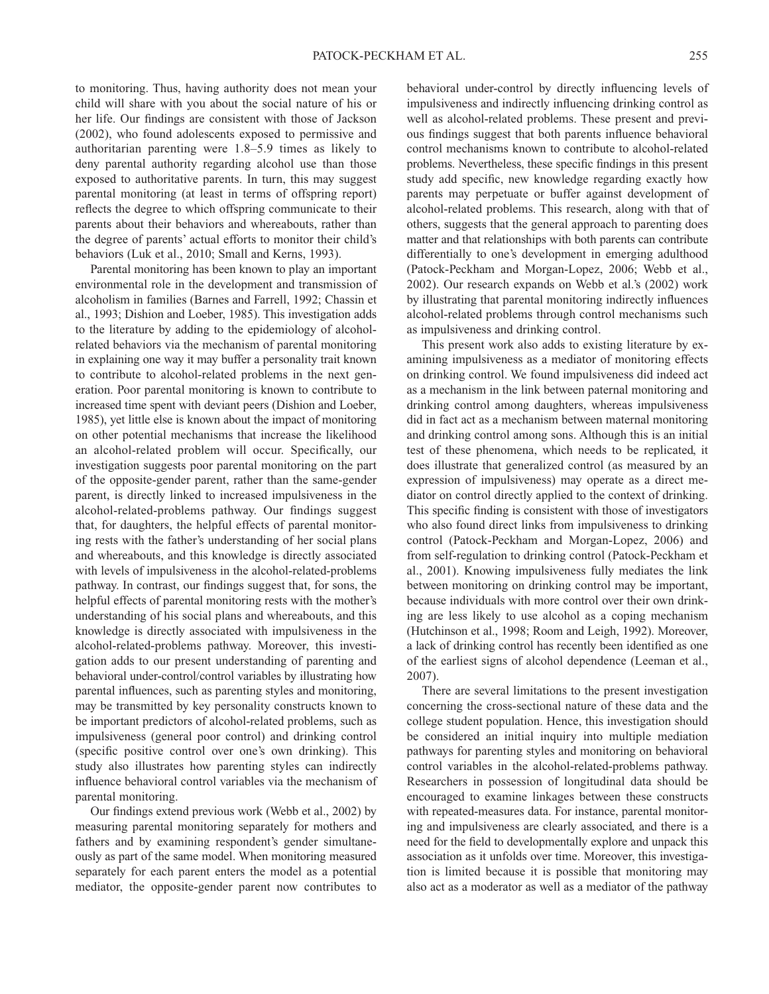to monitoring. Thus, having authority does not mean your child will share with you about the social nature of his or her life. Our findings are consistent with those of Jackson (2002), who found adolescents exposed to permissive and authoritarian parenting were 1.8–5.9 times as likely to deny parental authority regarding alcohol use than those exposed to authoritative parents. In turn, this may suggest parental monitoring (at least in terms of offspring report) reflects the degree to which offspring communicate to their parents about their behaviors and whereabouts, rather than the degree of parents' actual efforts to monitor their child's behaviors (Luk et al., 2010; Small and Kerns, 1993).

 Parental monitoring has been known to play an important environmental role in the development and transmission of alcoholism in families (Barnes and Farrell, 1992; Chassin et al., 1993; Dishion and Loeber, 1985). This investigation adds to the literature by adding to the epidemiology of alcoholrelated behaviors via the mechanism of parental monitoring in explaining one way it may buffer a personality trait known to contribute to alcohol-related problems in the next generation. Poor parental monitoring is known to contribute to increased time spent with deviant peers (Dishion and Loeber, 1985), yet little else is known about the impact of monitoring on other potential mechanisms that increase the likelihood an alcohol-related problem will occur. Specifically, our investigation suggests poor parental monitoring on the part of the opposite-gender parent, rather than the same-gender parent, is directly linked to increased impulsiveness in the alcohol-related-problems pathway. Our findings suggest that, for daughters, the helpful effects of parental monitoring rests with the father's understanding of her social plans and whereabouts, and this knowledge is directly associated with levels of impulsiveness in the alcohol-related-problems pathway. In contrast, our findings suggest that, for sons, the helpful effects of parental monitoring rests with the mother's understanding of his social plans and whereabouts, and this knowledge is directly associated with impulsiveness in the alcohol-related-problems pathway. Moreover, this investigation adds to our present understanding of parenting and behavioral under-control/control variables by illustrating how parental influences, such as parenting styles and monitoring, may be transmitted by key personality constructs known to be important predictors of alcohol-related problems, such as impulsiveness (general poor control) and drinking control (specific positive control over one's own drinking). This study also illustrates how parenting styles can indirectly influence behavioral control variables via the mechanism of parental monitoring.

Our findings extend previous work (Webb et al., 2002) by measuring parental monitoring separately for mothers and fathers and by examining respondent's gender simultaneously as part of the same model. When monitoring measured separately for each parent enters the model as a potential mediator, the opposite-gender parent now contributes to behavioral under-control by directly influencing levels of impulsiveness and indirectly influencing drinking control as well as alcohol-related problems. These present and previous findings suggest that both parents influence behavioral control mechanisms known to contribute to alcohol-related problems. Nevertheless, these specific findings in this present study add specific, new knowledge regarding exactly how parents may perpetuate or buffer against development of alcohol-related problems. This research, along with that of others, suggests that the general approach to parenting does matter and that relationships with both parents can contribute differentially to one's development in emerging adulthood (Patock-Peckham and Morgan-Lopez, 2006; Webb et al., 2002). Our research expands on Webb et al.'s (2002) work by illustrating that parental monitoring indirectly influences alcohol-related problems through control mechanisms such as impulsiveness and drinking control.

 This present work also adds to existing literature by examining impulsiveness as a mediator of monitoring effects on drinking control. We found impulsiveness did indeed act as a mechanism in the link between paternal monitoring and drinking control among daughters, whereas impulsiveness did in fact act as a mechanism between maternal monitoring and drinking control among sons. Although this is an initial test of these phenomena, which needs to be replicated, it does illustrate that generalized control (as measured by an expression of impulsiveness) may operate as a direct mediator on control directly applied to the context of drinking. This specific finding is consistent with those of investigators who also found direct links from impulsiveness to drinking control (Patock-Peckham and Morgan-Lopez, 2006) and from self-regulation to drinking control (Patock-Peckham et al., 2001). Knowing impulsiveness fully mediates the link between monitoring on drinking control may be important, because individuals with more control over their own drinking are less likely to use alcohol as a coping mechanism (Hutchinson et al., 1998; Room and Leigh, 1992). Moreover, a lack of drinking control has recently been identified as one of the earliest signs of alcohol dependence (Leeman et al., 2007).

 There are several limitations to the present investigation concerning the cross-sectional nature of these data and the college student population. Hence, this investigation should be considered an initial inquiry into multiple mediation pathways for parenting styles and monitoring on behavioral control variables in the alcohol-related-problems pathway. Researchers in possession of longitudinal data should be encouraged to examine linkages between these constructs with repeated-measures data. For instance, parental monitoring and impulsiveness are clearly associated, and there is a need for the field to developmentally explore and unpack this association as it unfolds over time. Moreover, this investigation is limited because it is possible that monitoring may also act as a moderator as well as a mediator of the pathway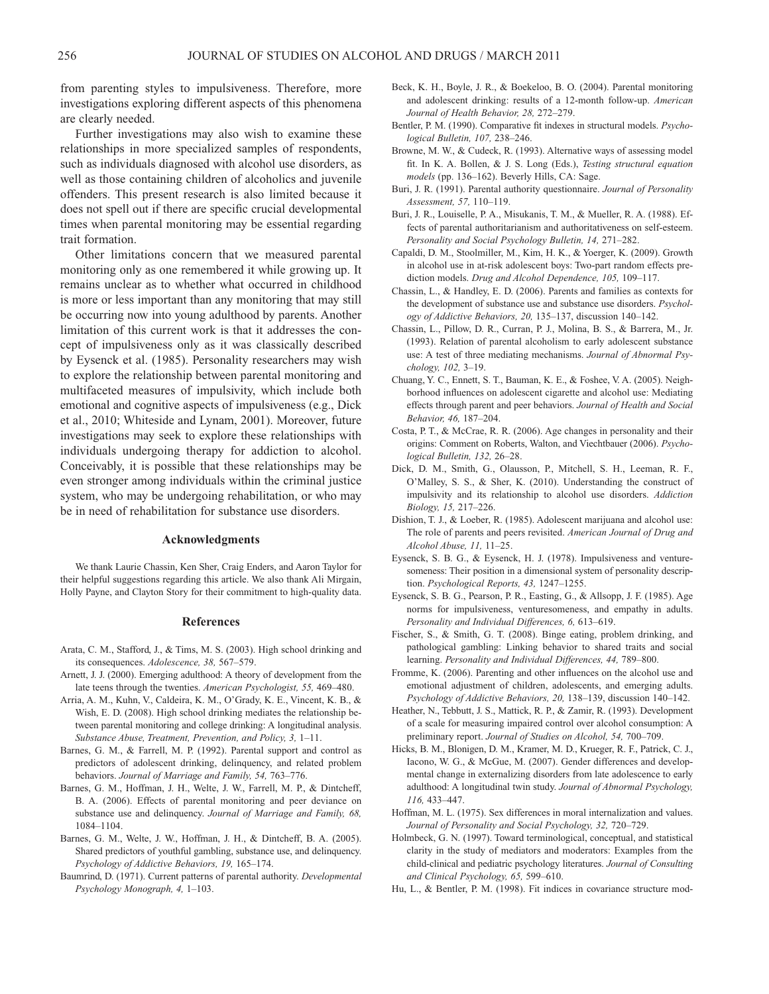from parenting styles to impulsiveness. Therefore, more investigations exploring different aspects of this phenomena are clearly needed.

 Further investigations may also wish to examine these relationships in more specialized samples of respondents, such as individuals diagnosed with alcohol use disorders, as well as those containing children of alcoholics and juvenile offenders. This present research is also limited because it does not spell out if there are specific crucial developmental times when parental monitoring may be essential regarding trait formation.

 Other limitations concern that we measured parental monitoring only as one remembered it while growing up. It remains unclear as to whether what occurred in childhood is more or less important than any monitoring that may still be occurring now into young adulthood by parents. Another limitation of this current work is that it addresses the concept of impulsiveness only as it was classically described by Eysenck et al. (1985). Personality researchers may wish to explore the relationship between parental monitoring and multifaceted measures of impulsivity, which include both emotional and cognitive aspects of impulsiveness (e.g., Dick et al., 2010; Whiteside and Lynam, 2001). Moreover, future investigations may seek to explore these relationships with individuals undergoing therapy for addiction to alcohol. Conceivably, it is possible that these relationships may be even stronger among individuals within the criminal justice system, who may be undergoing rehabilitation, or who may be in need of rehabilitation for substance use disorders.

## **Acknowledgments**

 We thank Laurie Chassin, Ken Sher, Craig Enders, and Aaron Taylor for their helpful suggestions regarding this article. We also thank Ali Mirgain, Holly Payne, and Clayton Story for their commitment to high-quality data.

#### **References**

- Arata, C. M., Stafford, J., & Tims, M. S. (2003). High school drinking and its consequences. *Adolescence, 38,* 567–579.
- Arnett, J. J. (2000). Emerging adulthood: A theory of development from the late teens through the twenties. *American Psychologist, 55,* 469–480.
- Arria, A. M., Kuhn, V., Caldeira, K. M., O'Grady, K. E., Vincent, K. B., & Wish, E. D. (2008). High school drinking mediates the relationship between parental monitoring and college drinking: A longitudinal analysis. *Substance Abuse, Treatment, Prevention, and Policy, 3,* 1–11.
- Barnes, G. M., & Farrell, M. P. (1992). Parental support and control as predictors of adolescent drinking, delinquency, and related problem behaviors. *Journal of Marriage and Family, 54,* 763–776.
- Barnes, G. M., Hoffman, J. H., Welte, J. W., Farrell, M. P., & Dintcheff, B. A. (2006). Effects of parental monitoring and peer deviance on substance use and delinquency. *Journal of Marriage and Family, 68,* 1084–1104.
- Barnes, G. M., Welte, J. W., Hoffman, J. H., & Dintcheff, B. A. (2005). Shared predictors of youthful gambling, substance use, and delinquency. *Psychology of Addictive Behaviors, 19,* 165–174.
- Baumrind, D. (1971). Current patterns of parental authority. *Developmental Psychology Monograph, 4,* 1–103.
- Beck, K. H., Boyle, J. R., & Boekeloo, B. O. (2004). Parental monitoring and adolescent drinking: results of a 12-month follow-up. *American Journal of Health Behavior, 28,* 272–279.
- Bentler, P. M. (1990). Comparative fit indexes in structural models. *Psychological Bulletin, 107,* 238–246.
- Browne, M. W., & Cudeck, R. (1993). Alternative ways of assessing model fit. In K. A. Bollen, & J. S. Long (Eds.), *Testing structural equation models* (pp. 136–162). Beverly Hills, CA: Sage.
- Buri, J. R. (1991). Parental authority questionnaire. *Journal of Personality Assessment, 57,* 110–119.
- Buri, J. R., Louiselle, P. A., Misukanis, T. M., & Mueller, R. A. (1988). Effects of parental authoritarianism and authoritativeness on self-esteem. *Personality and Social Psychology Bulletin, 14,* 271–282.
- Capaldi, D. M., Stoolmiller, M., Kim, H. K., & Yoerger, K. (2009). Growth in alcohol use in at-risk adolescent boys: Two-part random effects prediction models. *Drug and Alcohol Dependence, 105,* 109–117.
- Chassin, L., & Handley, E. D. (2006). Parents and families as contexts for the development of substance use and substance use disorders. *Psychology of Addictive Behaviors, 20,* 135–137, discussion 140–142.
- Chassin, L., Pillow, D. R., Curran, P. J., Molina, B. S., & Barrera, M., Jr. (1993). Relation of parental alcoholism to early adolescent substance use: A test of three mediating mechanisms. *Journal of Abnormal Psychology, 102,* 3–19.
- Chuang, Y. C., Ennett, S. T., Bauman, K. E., & Foshee, V. A. (2005). Neighborhood influences on adolescent cigarette and alcohol use: Mediating effects through parent and peer behaviors. *Journal of Health and Social Behavior, 46,* 187–204.
- Costa, P. T., & McCrae, R. R. (2006). Age changes in personality and their origins: Comment on Roberts, Walton, and Viechtbauer (2006). *Psychological Bulletin, 132,* 26–28.
- Dick, D. M., Smith, G., Olausson, P., Mitchell, S. H., Leeman, R. F., O'Malley, S. S., & Sher, K. (2010). Understanding the construct of impulsivity and its relationship to alcohol use disorders. *Addiction Biology, 15,* 217–226.
- Dishion, T. J., & Loeber, R. (1985). Adolescent marijuana and alcohol use: The role of parents and peers revisited. *American Journal of Drug and Alcohol Abuse, 11,* 11–25.
- Eysenck, S. B. G., & Eysenck, H. J. (1978). Impulsiveness and venturesomeness: Their position in a dimensional system of personality description. *Psychological Reports, 43,* 1247–1255.
- Eysenck, S. B. G., Pearson, P. R., Easting, G., & Allsopp, J. F. (1985). Age norms for impulsiveness, venturesomeness, and empathy in adults. *Personality and Individual Differences, 6,* 613–619.
- Fischer, S., & Smith, G. T. (2008). Binge eating, problem drinking, and pathological gambling: Linking behavior to shared traits and social learning. *Personality and Individual Differences, 44,* 789–800.
- Fromme, K. (2006). Parenting and other influences on the alcohol use and emotional adjustment of children, adolescents, and emerging adults. *Psychology of Addictive Behaviors, 20,* 138–139, discussion 140–142.
- Heather, N., Tebbutt, J. S., Mattick, R. P., & Zamir, R. (1993). Development of a scale for measuring impaired control over alcohol consumption: A preliminary report. *Journal of Studies on Alcohol, 54,* 700–709.
- Hicks, B. M., Blonigen, D. M., Kramer, M. D., Krueger, R. F., Patrick, C. J., Iacono, W. G., & McGue, M. (2007). Gender differences and developmental change in externalizing disorders from late adolescence to early adulthood: A longitudinal twin study. *Journal of Abnormal Psychology, 116,* 433–447.
- Hoffman, M. L. (1975). Sex differences in moral internalization and values. *Journal of Personality and Social Psychology, 32,* 720–729.
- Holmbeck, G. N. (1997). Toward terminological, conceptual, and statistical clarity in the study of mediators and moderators: Examples from the child-clinical and pediatric psychology literatures. *Journal of Consulting and Clinical Psychology, 65,* 599–610.
- Hu, L., & Bentler, P. M. (1998). Fit indices in covariance structure mod-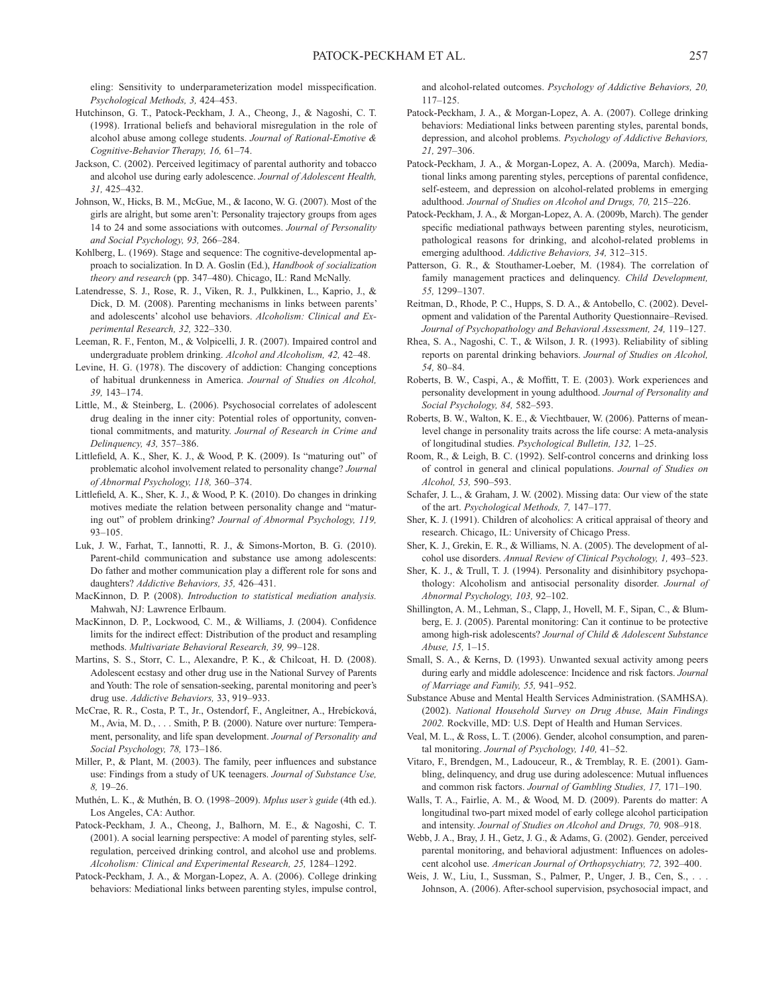eling: Sensitivity to underparameterization model misspecification. *Psychological Methods, 3,* 424–453.

- Hutchinson, G. T., Patock-Peckham, J. A., Cheong, J., & Nagoshi, C. T. (1998). Irrational beliefs and behavioral misregulation in the role of alcohol abuse among college students. *Journal of Rational-Emotive & Cognitive-Behavior Therapy, 16,* 61–74.
- Jackson, C. (2002). Perceived legitimacy of parental authority and tobacco and alcohol use during early adolescence. *Journal of Adolescent Health, 31,* 425–432.
- Johnson, W., Hicks, B. M., McGue, M., & Iacono, W. G. (2007). Most of the girls are alright, but some aren't: Personality trajectory groups from ages 14 to 24 and some associations with outcomes. *Journal of Personality and Social Psychology, 93,* 266–284.
- Kohlberg, L. (1969). Stage and sequence: The cognitive-developmental approach to socialization. In D. A. Goslin (Ed.), *Handbook of socialization theory and research* (pp. 347–480). Chicago, IL: Rand McNally.
- Latendresse, S. J., Rose, R. J., Viken, R. J., Pulkkinen, L., Kaprio, J., & Dick, D. M. (2008). Parenting mechanisms in links between parents' and adolescents' alcohol use behaviors. *Alcoholism: Clinical and Experimental Research, 32,* 322–330.
- Leeman, R. F., Fenton, M., & Volpicelli, J. R. (2007). Impaired control and undergraduate problem drinking. *Alcohol and Alcoholism, 42,* 42–48.
- Levine, H. G. (1978). The discovery of addiction: Changing conceptions of habitual drunkenness in America. *Journal of Studies on Alcohol, 39,* 143–174.
- Little, M., & Steinberg, L. (2006). Psychosocial correlates of adolescent drug dealing in the inner city: Potential roles of opportunity, conventional commitments, and maturity. *Journal of Research in Crime and Delinquency, 43,* 357–386.
- Littlefield, A. K., Sher, K. J., & Wood, P. K. (2009). Is "maturing out" of problematic alcohol involvement related to personality change? *Journal of Abnormal Psychology, 118,* 360–374.
- Littlefield, A. K., Sher, K. J., & Wood, P. K. (2010). Do changes in drinking motives mediate the relation between personality change and "maturing out" of problem drinking? *Journal of Abnormal Psychology, 119,* 93–105.
- Luk, J. W., Farhat, T., Iannotti, R. J., & Simons-Morton, B. G. (2010). Parent-child communication and substance use among adolescents: Do father and mother communication play a different role for sons and daughters? *Addictive Behaviors, 35,* 426–431.
- MacKinnon, D. P. (2008). *Introduction to statistical mediation analysis.* Mahwah, NJ: Lawrence Erlbaum.
- MacKinnon, D. P., Lockwood, C. M., & Williams, J. (2004). Confidence limits for the indirect effect: Distribution of the product and resampling methods. *Multivariate Behavioral Research, 39,* 99–128.
- Martins, S. S., Storr, C. L., Alexandre, P. K., & Chilcoat, H. D. (2008). Adolescent ecstasy and other drug use in the National Survey of Parents and Youth: The role of sensation-seeking, parental monitoring and peer's drug use. *Addictive Behaviors,* 33, 919–933.
- McCrae, R. R., Costa, P. T., Jr., Ostendorf, F., Angleitner, A., Hrebícková, M., Avia, M. D., . . . Smith, P. B. (2000). Nature over nurture: Temperament, personality, and life span development. *Journal of Personality and Social Psychology, 78,* 173–186.
- Miller, P., & Plant, M. (2003). The family, peer influences and substance use: Findings from a study of UK teenagers. *Journal of Substance Use, 8,* 19–26.
- Muthén, L. K., & Muthén, B. O. (1998–2009). *Mplus user's guide* (4th ed.). Los Angeles, CA: Author.
- Patock-Peckham, J. A., Cheong, J., Balhorn, M. E., & Nagoshi, C. T. (2001). A social learning perspective: A model of parenting styles, selfregulation, perceived drinking control, and alcohol use and problems. *Alcoholism: Clinical and Experimental Research, 25,* 1284–1292.
- Patock-Peckham, J. A., & Morgan-Lopez, A. A. (2006). College drinking behaviors: Mediational links between parenting styles, impulse control,

and alcohol-related outcomes. *Psychology of Addictive Behaviors, 20,* 117–125.

- Patock-Peckham, J. A., & Morgan-Lopez, A. A. (2007). College drinking behaviors: Mediational links between parenting styles, parental bonds, depression, and alcohol problems. *Psychology of Addictive Behaviors, 21,* 297–306.
- Patock-Peckham, J. A., & Morgan-Lopez, A. A. (2009a, March). Mediational links among parenting styles, perceptions of parental confidence, self-esteem, and depression on alcohol-related problems in emerging adulthood. *Journal of Studies on Alcohol and Drugs, 70,* 215–226.
- Patock-Peckham, J. A., & Morgan-Lopez, A. A. (2009b, March). The gender specific mediational pathways between parenting styles, neuroticism, pathological reasons for drinking, and alcohol-related problems in emerging adulthood. *Addictive Behaviors, 34,* 312–315.
- Patterson, G. R., & Stouthamer-Loeber, M. (1984). The correlation of family management practices and delinquency. *Child Development, 55,* 1299–1307.
- Reitman, D., Rhode, P. C., Hupps, S. D. A., & Antobello, C. (2002). Development and validation of the Parental Authority Questionnaire–Revised. *Journal of Psychopathology and Behavioral Assessment, 24,* 119–127.
- Rhea, S. A., Nagoshi, C. T., & Wilson, J. R. (1993). Reliability of sibling reports on parental drinking behaviors. *Journal of Studies on Alcohol, 54,* 80–84.
- Roberts, B. W., Caspi, A., & Moffitt, T. E. (2003). Work experiences and personality development in young adulthood. *Journal of Personality and Social Psychology, 84,* 582–593.
- Roberts, B. W., Walton, K. E., & Viechtbauer, W. (2006). Patterns of meanlevel change in personality traits across the life course: A meta-analysis of longitudinal studies. *Psychological Bulletin, 132,* 1–25.
- Room, R., & Leigh, B. C. (1992). Self-control concerns and drinking loss of control in general and clinical populations. *Journal of Studies on Alcohol, 53,* 590–593.
- Schafer, J. L., & Graham, J. W. (2002). Missing data: Our view of the state of the art. *Psychological Methods, 7,* 147–177.
- Sher, K. J. (1991). Children of alcoholics: A critical appraisal of theory and research. Chicago, IL: University of Chicago Press.
- Sher, K. J., Grekin, E. R., & Williams, N. A. (2005). The development of alcohol use disorders. *Annual Review of Clinical Psychology, 1,* 493–523.
- Sher, K. J., & Trull, T. J. (1994). Personality and disinhibitory psychopathology: Alcoholism and antisocial personality disorder. *Journal of Abnormal Psychology, 103,* 92–102.
- Shillington, A. M., Lehman, S., Clapp, J., Hovell, M. F., Sipan, C., & Blumberg, E. J. (2005). Parental monitoring: Can it continue to be protective among high-risk adolescents? *Journal of Child & Adolescent Substance Abuse, 15,* 1–15.
- Small, S. A., & Kerns, D. (1993). Unwanted sexual activity among peers during early and middle adolescence: Incidence and risk factors. *Journal of Marriage and Family, 55,* 941–952.
- Substance Abuse and Mental Health Services Administration. (SAMHSA). (2002). *National Household Survey on Drug Abuse, Main Findings 2002.* Rockville, MD: U.S. Dept of Health and Human Services.
- Veal, M. L., & Ross, L. T. (2006). Gender, alcohol consumption, and parental monitoring. *Journal of Psychology, 140,* 41–52.
- Vitaro, F., Brendgen, M., Ladouceur, R., & Tremblay, R. E. (2001). Gambling, delinquency, and drug use during adolescence: Mutual influences and common risk factors. *Journal of Gambling Studies, 17,* 171–190.
- Walls, T. A., Fairlie, A. M., & Wood, M. D. (2009). Parents do matter: A longitudinal two-part mixed model of early college alcohol participation and intensity. *Journal of Studies on Alcohol and Drugs, 70,* 908–918.
- Webb, J. A., Bray, J. H., Getz, J. G., & Adams, G. (2002). Gender, perceived parental monitoring, and behavioral adjustment: Influences on adolescent alcohol use. *American Journal of Orthopsychiatry, 72,* 392–400.
- Weis, J. W., Liu, I., Sussman, S., Palmer, P., Unger, J. B., Cen, S., . . . Johnson, A. (2006). After-school supervision, psychosocial impact, and